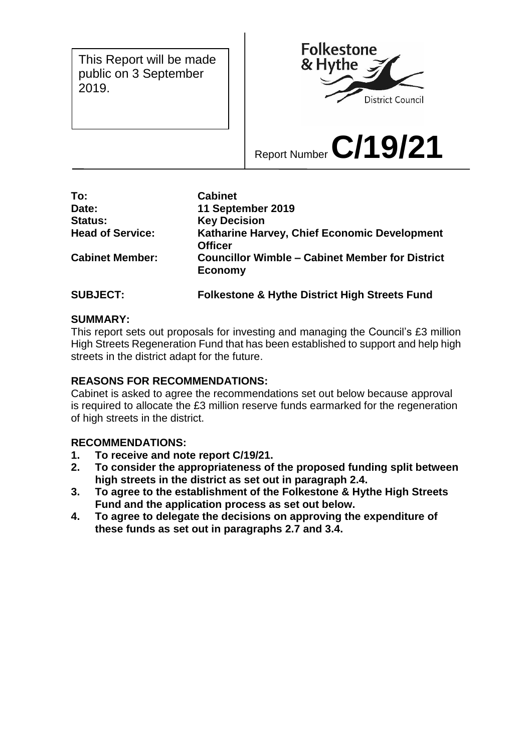This Report will be made public on 3 September 2019.



Report Number **C/19/21**

| <b>Cabinet</b>                                                           |
|--------------------------------------------------------------------------|
| 11 September 2019                                                        |
| <b>Key Decision</b>                                                      |
| Katharine Harvey, Chief Economic Development<br><b>Officer</b>           |
| <b>Councillor Wimble - Cabinet Member for District</b><br><b>Economy</b> |
|                                                                          |

**SUBJECT: Folkestone & Hythe District High Streets Fund** 

## **SUMMARY:**

This report sets out proposals for investing and managing the Council's £3 million High Streets Regeneration Fund that has been established to support and help high streets in the district adapt for the future.

## **REASONS FOR RECOMMENDATIONS:**

Cabinet is asked to agree the recommendations set out below because approval is required to allocate the £3 million reserve funds earmarked for the regeneration of high streets in the district.

## **RECOMMENDATIONS:**

- **1. To receive and note report C/19/21.**
- **2. To consider the appropriateness of the proposed funding split between high streets in the district as set out in paragraph 2.4.**
- **3. To agree to the establishment of the Folkestone & Hythe High Streets Fund and the application process as set out below.**
- **4. To agree to delegate the decisions on approving the expenditure of these funds as set out in paragraphs 2.7 and 3.4.**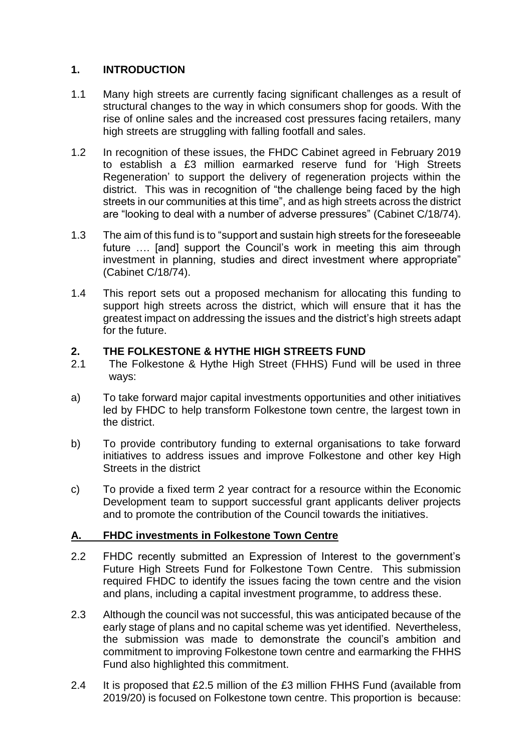## **1. INTRODUCTION**

- 1.1 Many high streets are currently facing significant challenges as a result of structural changes to the way in which consumers shop for goods. With the rise of online sales and the increased cost pressures facing retailers, many high streets are struggling with falling footfall and sales.
- 1.2 In recognition of these issues, the FHDC Cabinet agreed in February 2019 to establish a £3 million earmarked reserve fund for 'High Streets Regeneration' to support the delivery of regeneration projects within the district. This was in recognition of "the challenge being faced by the high streets in our communities at this time", and as high streets across the district are "looking to deal with a number of adverse pressures" (Cabinet C/18/74).
- 1.3 The aim of this fund is to "support and sustain high streets for the foreseeable future …. [and] support the Council's work in meeting this aim through investment in planning, studies and direct investment where appropriate" (Cabinet C/18/74).
- 1.4 This report sets out a proposed mechanism for allocating this funding to support high streets across the district, which will ensure that it has the greatest impact on addressing the issues and the district's high streets adapt for the future.

## **2. THE FOLKESTONE & HYTHE HIGH STREETS FUND**

- 2.1 The Folkestone & Hythe High Street (FHHS) Fund will be used in three ways:
- a) To take forward major capital investments opportunities and other initiatives led by FHDC to help transform Folkestone town centre, the largest town in the district.
- b) To provide contributory funding to external organisations to take forward initiatives to address issues and improve Folkestone and other key High Streets in the district
- c) To provide a fixed term 2 year contract for a resource within the Economic Development team to support successful grant applicants deliver projects and to promote the contribution of the Council towards the initiatives.

## **A. FHDC investments in Folkestone Town Centre**

- 2.2 FHDC recently submitted an Expression of Interest to the government's Future High Streets Fund for Folkestone Town Centre. This submission required FHDC to identify the issues facing the town centre and the vision and plans, including a capital investment programme, to address these.
- 2.3 Although the council was not successful, this was anticipated because of the early stage of plans and no capital scheme was yet identified. Nevertheless, the submission was made to demonstrate the council's ambition and commitment to improving Folkestone town centre and earmarking the FHHS Fund also highlighted this commitment.
- 2.4 It is proposed that £2.5 million of the £3 million FHHS Fund (available from 2019/20) is focused on Folkestone town centre. This proportion is because: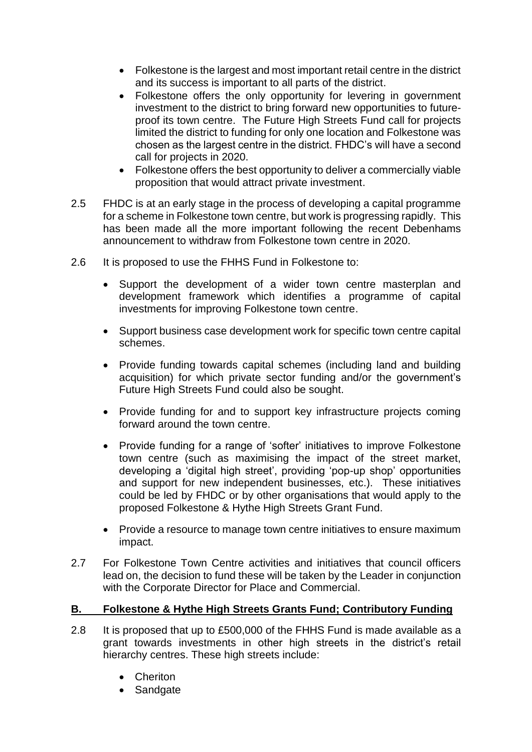- Folkestone is the largest and most important retail centre in the district and its success is important to all parts of the district.
- Folkestone offers the only opportunity for levering in government investment to the district to bring forward new opportunities to futureproof its town centre. The Future High Streets Fund call for projects limited the district to funding for only one location and Folkestone was chosen as the largest centre in the district. FHDC's will have a second call for projects in 2020.
- Folkestone offers the best opportunity to deliver a commercially viable proposition that would attract private investment.
- 2.5 FHDC is at an early stage in the process of developing a capital programme for a scheme in Folkestone town centre, but work is progressing rapidly. This has been made all the more important following the recent Debenhams announcement to withdraw from Folkestone town centre in 2020.
- 2.6 It is proposed to use the FHHS Fund in Folkestone to:
	- Support the development of a wider town centre masterplan and development framework which identifies a programme of capital investments for improving Folkestone town centre.
	- Support business case development work for specific town centre capital schemes.
	- Provide funding towards capital schemes (including land and building acquisition) for which private sector funding and/or the government's Future High Streets Fund could also be sought.
	- Provide funding for and to support key infrastructure projects coming forward around the town centre.
	- Provide funding for a range of 'softer' initiatives to improve Folkestone town centre (such as maximising the impact of the street market, developing a 'digital high street', providing 'pop-up shop' opportunities and support for new independent businesses, etc.). These initiatives could be led by FHDC or by other organisations that would apply to the proposed Folkestone & Hythe High Streets Grant Fund.
	- Provide a resource to manage town centre initiatives to ensure maximum impact.
- 2.7 For Folkestone Town Centre activities and initiatives that council officers lead on, the decision to fund these will be taken by the Leader in conjunction with the Corporate Director for Place and Commercial.

## **B. Folkestone & Hythe High Streets Grants Fund; Contributory Funding**

- 2.8 It is proposed that up to £500,000 of the FHHS Fund is made available as a grant towards investments in other high streets in the district's retail hierarchy centres. These high streets include:
	- Cheriton
	- Sandgate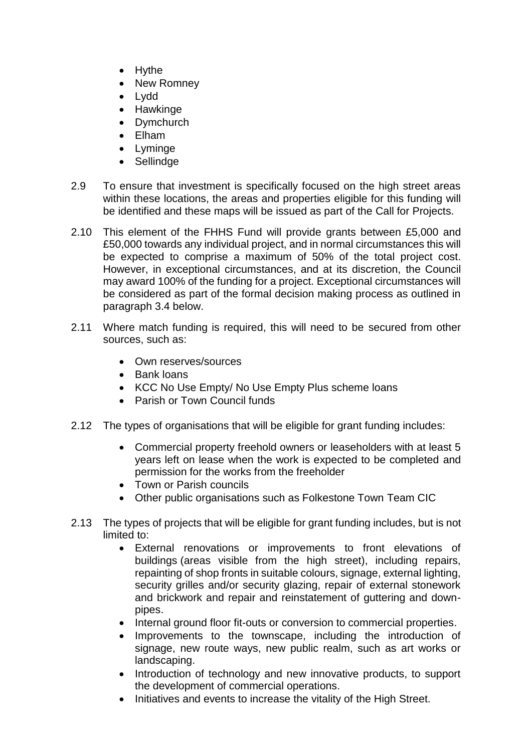- Hythe
- New Romney
- Lydd
- Hawkinge
- Dymchurch
- Elham
- Lyminge
- Sellindge
- 2.9 To ensure that investment is specifically focused on the high street areas within these locations, the areas and properties eligible for this funding will be identified and these maps will be issued as part of the Call for Projects.
- 2.10 This element of the FHHS Fund will provide grants between £5,000 and £50,000 towards any individual project, and in normal circumstances this will be expected to comprise a maximum of 50% of the total project cost. However, in exceptional circumstances, and at its discretion, the Council may award 100% of the funding for a project. Exceptional circumstances will be considered as part of the formal decision making process as outlined in paragraph 3.4 below.
- 2.11 Where match funding is required, this will need to be secured from other sources, such as:
	- Own reserves/sources
	- Bank loans
	- KCC No Use Empty/ No Use Empty Plus scheme loans
	- Parish or Town Council funds
- 2.12 The types of organisations that will be eligible for grant funding includes:
	- Commercial property freehold owners or leaseholders with at least 5 years left on lease when the work is expected to be completed and permission for the works from the freeholder
	- Town or Parish councils
	- Other public organisations such as Folkestone Town Team CIC
- 2.13 The types of projects that will be eligible for grant funding includes, but is not limited to:
	- External renovations or improvements to front elevations of buildings (areas visible from the high street), including repairs, repainting of shop fronts in suitable colours, signage, external lighting, security grilles and/or security glazing, repair of external stonework and brickwork and repair and reinstatement of guttering and downpipes.
	- Internal ground floor fit-outs or conversion to commercial properties.
	- Improvements to the townscape, including the introduction of signage, new route ways, new public realm, such as art works or landscaping.
	- Introduction of technology and new innovative products, to support the development of commercial operations.
	- Initiatives and events to increase the vitality of the High Street.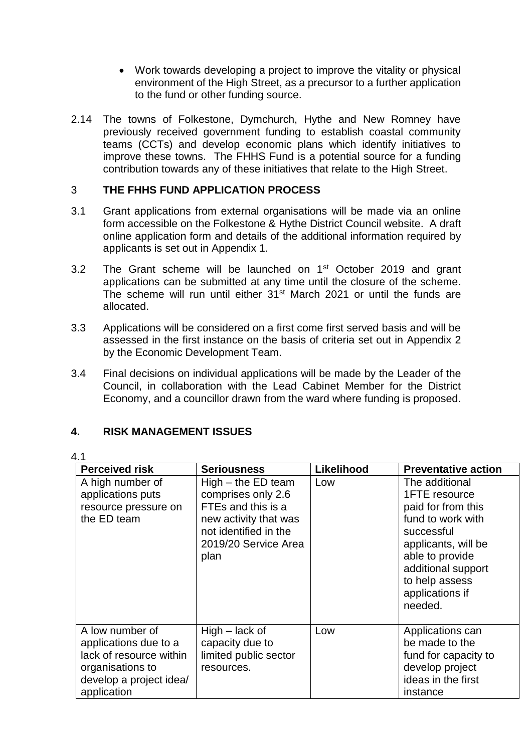- Work towards developing a project to improve the vitality or physical environment of the High Street, as a precursor to a further application to the fund or other funding source.
- 2.14 The towns of Folkestone, Dymchurch, Hythe and New Romney have previously received government funding to establish coastal community teams (CCTs) and develop economic plans which identify initiatives to improve these towns. The FHHS Fund is a potential source for a funding contribution towards any of these initiatives that relate to the High Street.

## 3 **THE FHHS FUND APPLICATION PROCESS**

- 3.1 Grant applications from external organisations will be made via an online form accessible on the Folkestone & Hythe District Council website. A draft online application form and details of the additional information required by applicants is set out in Appendix 1.
- 3.2 The Grant scheme will be launched on 1<sup>st</sup> October 2019 and grant applications can be submitted at any time until the closure of the scheme. The scheme will run until either 31<sup>st</sup> March 2021 or until the funds are allocated.
- 3.3 Applications will be considered on a first come first served basis and will be assessed in the first instance on the basis of criteria set out in Appendix 2 by the Economic Development Team.
- 3.4 Final decisions on individual applications will be made by the Leader of the Council, in collaboration with the Lead Cabinet Member for the District Economy, and a councillor drawn from the ward where funding is proposed.

## **4. RISK MANAGEMENT ISSUES**

## 4.1

| <b>Perceived risk</b>                                                                                                             | <b>Seriousness</b>                                                                                                                                 | Likelihood | <b>Preventative action</b>                                                                                                                                                                               |
|-----------------------------------------------------------------------------------------------------------------------------------|----------------------------------------------------------------------------------------------------------------------------------------------------|------------|----------------------------------------------------------------------------------------------------------------------------------------------------------------------------------------------------------|
| A high number of<br>applications puts<br>resource pressure on<br>the ED team                                                      | $High - the ED team$<br>comprises only 2.6<br>FTEs and this is a<br>new activity that was<br>not identified in the<br>2019/20 Service Area<br>plan | Low        | The additional<br>1FTE resource<br>paid for from this<br>fund to work with<br>successful<br>applicants, will be<br>able to provide<br>additional support<br>to help assess<br>applications if<br>needed. |
| A low number of<br>applications due to a<br>lack of resource within<br>organisations to<br>develop a project idea/<br>application | $High - lack of$<br>capacity due to<br>limited public sector<br>resources.                                                                         | Low        | Applications can<br>be made to the<br>fund for capacity to<br>develop project<br>ideas in the first<br>instance                                                                                          |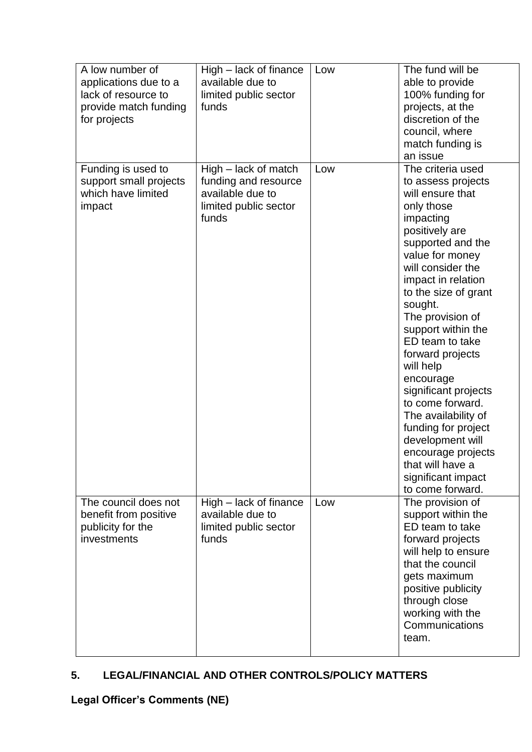| A low number of<br>applications due to a<br>lack of resource to<br>provide match funding<br>for projects | High – lack of finance<br>available due to<br>limited public sector<br>funds                       | Low | The fund will be<br>able to provide<br>100% funding for<br>projects, at the<br>discretion of the<br>council, where<br>match funding is<br>an issue                                                                                                                                                                                                                                                                                                                                                                                          |
|----------------------------------------------------------------------------------------------------------|----------------------------------------------------------------------------------------------------|-----|---------------------------------------------------------------------------------------------------------------------------------------------------------------------------------------------------------------------------------------------------------------------------------------------------------------------------------------------------------------------------------------------------------------------------------------------------------------------------------------------------------------------------------------------|
| Funding is used to<br>support small projects<br>which have limited<br>impact                             | High - lack of match<br>funding and resource<br>available due to<br>limited public sector<br>funds | Low | The criteria used<br>to assess projects<br>will ensure that<br>only those<br>impacting<br>positively are<br>supported and the<br>value for money<br>will consider the<br>impact in relation<br>to the size of grant<br>sought.<br>The provision of<br>support within the<br>ED team to take<br>forward projects<br>will help<br>encourage<br>significant projects<br>to come forward.<br>The availability of<br>funding for project<br>development will<br>encourage projects<br>that will have a<br>significant impact<br>to come forward. |
| The council does not<br>benefit from positive<br>publicity for the<br>investments                        | High - lack of finance<br>available due to<br>limited public sector<br>funds                       | Low | The provision of<br>support within the<br>ED team to take<br>forward projects<br>will help to ensure<br>that the council<br>gets maximum<br>positive publicity<br>through close<br>working with the<br>Communications<br>team.                                                                                                                                                                                                                                                                                                              |

## **5. LEGAL/FINANCIAL AND OTHER CONTROLS/POLICY MATTERS**

**Legal Officer's Comments (NE)**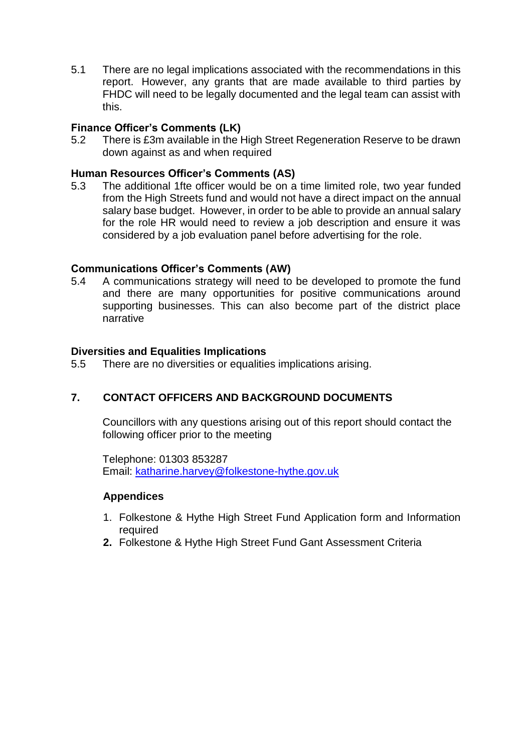5.1 There are no legal implications associated with the recommendations in this report. However, any grants that are made available to third parties by FHDC will need to be legally documented and the legal team can assist with this.

## **Finance Officer's Comments (LK)**

5.2 There is £3m available in the High Street Regeneration Reserve to be drawn down against as and when required

## **Human Resources Officer's Comments (AS)**

5.3 The additional 1fte officer would be on a time limited role, two year funded from the High Streets fund and would not have a direct impact on the annual salary base budget. However, in order to be able to provide an annual salary for the role HR would need to review a job description and ensure it was considered by a job evaluation panel before advertising for the role.

## **Communications Officer's Comments (AW)**

5.4 A communications strategy will need to be developed to promote the fund and there are many opportunities for positive communications around supporting businesses. This can also become part of the district place narrative

## **Diversities and Equalities Implications**

5.5 There are no diversities or equalities implications arising.

## **7. CONTACT OFFICERS AND BACKGROUND DOCUMENTS**

Councillors with any questions arising out of this report should contact the following officer prior to the meeting

Telephone: 01303 853287 Email: [katharine.harvey@folkestone-hythe.gov.uk](mailto:katharine.harvey@folkestone-hythe.gov.uk)

## **Appendices**

- 1. Folkestone & Hythe High Street Fund Application form and Information required
- **2.** Folkestone & Hythe High Street Fund Gant Assessment Criteria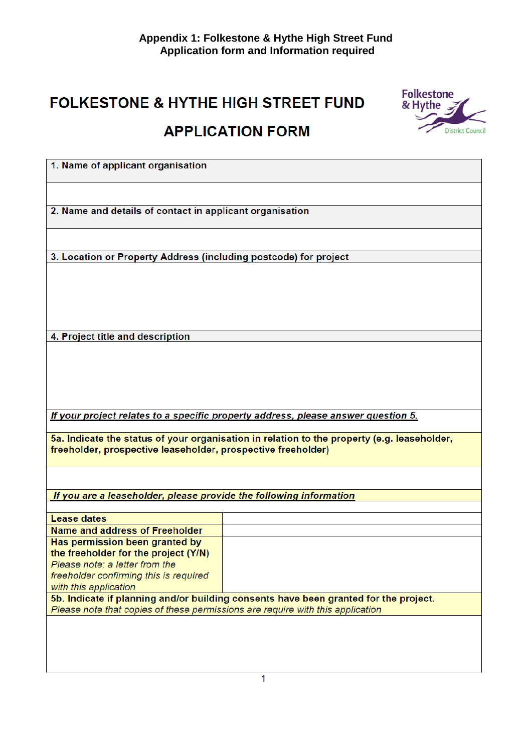# FOLKESTONE & HYTHE HIGH STREET FUND **APPLICATION FORM**



| 1. Name of applicant organisation                                                           |
|---------------------------------------------------------------------------------------------|
|                                                                                             |
|                                                                                             |
|                                                                                             |
|                                                                                             |
| 2. Name and details of contact in applicant organisation                                    |
|                                                                                             |
|                                                                                             |
|                                                                                             |
| 3. Location or Property Address (including postcode) for project                            |
|                                                                                             |
|                                                                                             |
|                                                                                             |
|                                                                                             |
|                                                                                             |
|                                                                                             |
|                                                                                             |
|                                                                                             |
| 4. Project title and description                                                            |
|                                                                                             |
|                                                                                             |
|                                                                                             |
|                                                                                             |
|                                                                                             |
|                                                                                             |
|                                                                                             |
| If your project relates to a specific property address, please answer question 5.           |
|                                                                                             |
|                                                                                             |
| 5a. Indicate the status of your organisation in relation to the property (e.g. leaseholder, |
| freeholder, prospective leaseholder, prospective freeholder)                                |
|                                                                                             |
|                                                                                             |
|                                                                                             |
|                                                                                             |
| If you are a leaseholder, please provide the following information                          |
|                                                                                             |
| <b>Lease dates</b>                                                                          |

| Lease dales                                                                    |                                                                                      |
|--------------------------------------------------------------------------------|--------------------------------------------------------------------------------------|
| Name and address of Freeholder                                                 |                                                                                      |
| Has permission been granted by                                                 |                                                                                      |
| the freeholder for the project (Y/N)                                           |                                                                                      |
| Please note: a letter from the                                                 |                                                                                      |
| freeholder confirming this is required                                         |                                                                                      |
| with this application                                                          |                                                                                      |
|                                                                                | 5b. Indicate if planning and/or building consents have been granted for the project. |
| Please note that copies of these permissions are require with this application |                                                                                      |
|                                                                                |                                                                                      |
|                                                                                |                                                                                      |
|                                                                                |                                                                                      |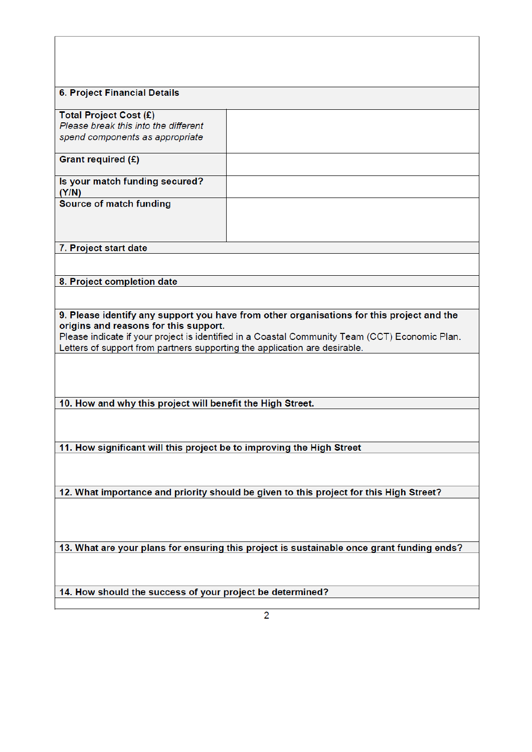| <b>6. Project Financial Details</b>                                                                                                                                          |                                                                                           |  |
|------------------------------------------------------------------------------------------------------------------------------------------------------------------------------|-------------------------------------------------------------------------------------------|--|
| Total Project Cost (£)                                                                                                                                                       |                                                                                           |  |
| Please break this into the different<br>spend components as appropriate                                                                                                      |                                                                                           |  |
|                                                                                                                                                                              |                                                                                           |  |
| Grant required (£)                                                                                                                                                           |                                                                                           |  |
| Is your match funding secured?<br>(Y/N)                                                                                                                                      |                                                                                           |  |
| Source of match funding                                                                                                                                                      |                                                                                           |  |
|                                                                                                                                                                              |                                                                                           |  |
|                                                                                                                                                                              |                                                                                           |  |
| 7. Project start date                                                                                                                                                        |                                                                                           |  |
|                                                                                                                                                                              |                                                                                           |  |
| 8. Project completion date                                                                                                                                                   |                                                                                           |  |
|                                                                                                                                                                              |                                                                                           |  |
|                                                                                                                                                                              |                                                                                           |  |
|                                                                                                                                                                              | 9. Please identify any support you have from other organisations for this project and the |  |
| origins and reasons for this support.                                                                                                                                        |                                                                                           |  |
| Please indicate if your project is identified in a Coastal Community Team (CCT) Economic Plan.<br>Letters of support from partners supporting the application are desirable. |                                                                                           |  |
|                                                                                                                                                                              |                                                                                           |  |
|                                                                                                                                                                              |                                                                                           |  |
|                                                                                                                                                                              |                                                                                           |  |
| 10. How and why this project will benefit the High Street.                                                                                                                   |                                                                                           |  |
|                                                                                                                                                                              |                                                                                           |  |
|                                                                                                                                                                              |                                                                                           |  |
|                                                                                                                                                                              |                                                                                           |  |
| 11. How significant will this project be to improving the High Street                                                                                                        |                                                                                           |  |
|                                                                                                                                                                              |                                                                                           |  |
|                                                                                                                                                                              |                                                                                           |  |
| 12. What importance and priority should be given to this project for this High Street?                                                                                       |                                                                                           |  |
|                                                                                                                                                                              |                                                                                           |  |
|                                                                                                                                                                              |                                                                                           |  |
|                                                                                                                                                                              |                                                                                           |  |
| 13. What are your plans for ensuring this project is sustainable once grant funding ends?                                                                                    |                                                                                           |  |
|                                                                                                                                                                              |                                                                                           |  |
|                                                                                                                                                                              |                                                                                           |  |
| 14. How should the success of your project be determined?                                                                                                                    |                                                                                           |  |
|                                                                                                                                                                              |                                                                                           |  |
| 2                                                                                                                                                                            |                                                                                           |  |

 $\overline{1}$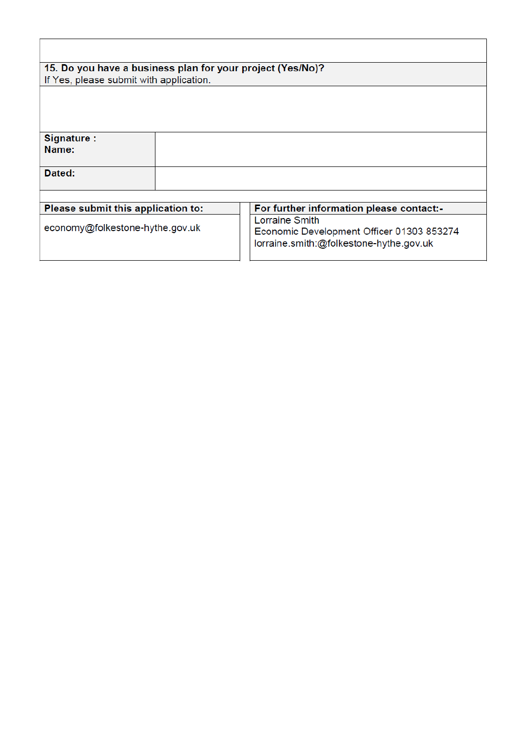| 15. Do you have a business plan for your project (Yes/No)? |  |                                                                                                        |  |
|------------------------------------------------------------|--|--------------------------------------------------------------------------------------------------------|--|
| If Yes, please submit with application.                    |  |                                                                                                        |  |
|                                                            |  |                                                                                                        |  |
| Signature:                                                 |  |                                                                                                        |  |
| Name:                                                      |  |                                                                                                        |  |
| Dated:                                                     |  |                                                                                                        |  |
|                                                            |  |                                                                                                        |  |
| Please submit this application to:                         |  | For further information please contact:-                                                               |  |
| economy@folkestone-hythe.gov.uk                            |  | Lorraine Smith<br>Economic Development Officer 01303 853274<br>lorraine.smith:@folkestone-hythe.gov.uk |  |

 $\overline{1}$